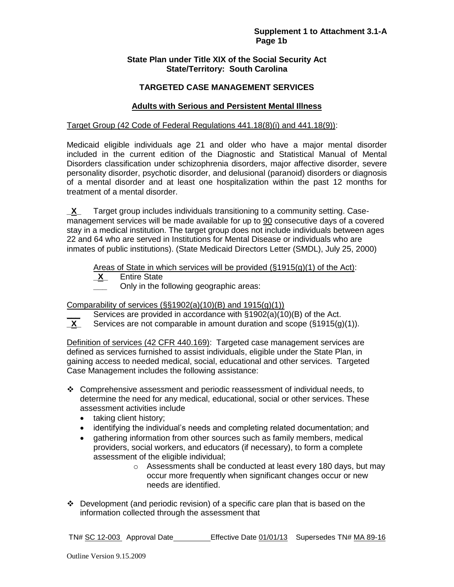## **State Plan under Title XIX of the Social Security Act State/Territory: South Carolina**

## **TARGETED CASE MANAGEMENT SERVICES**

## **Adults with Serious and Persistent Mental Illness**

### Target Group (42 Code of Federal Regulations 441.18(8)(i) and 441.18(9)):

Medicaid eligible individuals age 21 and older who have a major mental disorder included in the current edition of the Diagnostic and Statistical Manual of Mental Disorders classification under schizophrenia disorders, major affective disorder, severe personality disorder, psychotic disorder, and delusional (paranoid) disorders or diagnosis of a mental disorder and at least one hospitalization within the past 12 months for treatment of a mental disorder.

**\_X\_** Target group includes individuals transitioning to a community setting. Casemanagement services will be made available for up to 90 consecutive days of a covered stay in a medical institution. The target group does not include individuals between ages 22 and 64 who are served in Institutions for Mental Disease or individuals who are inmates of public institutions). (State Medicaid Directors Letter (SMDL), July 25, 2000)

Areas of State in which services will be provided (§1915(g)(1) of the Act):

- **\_X\_** Entire State
	- **\_\_\_** Only in the following geographic areas:

## Comparability of services (§§1902(a)(10)(B) and 1915(g)(1))

Services are provided in accordance with §1902(a)(10)(B) of the Act.

**\_X\_** Services are not comparable in amount duration and scope (§1915(g)(1)).

Definition of services (42 CFR 440.169): Targeted case management services are defined as services furnished to assist individuals, eligible under the State Plan, in gaining access to needed medical, social, educational and other services. Targeted Case Management includes the following assistance:

- $\div$  Comprehensive assessment and periodic reassessment of individual needs, to determine the need for any medical, educational, social or other services. These assessment activities include
	- taking client history;
	- identifying the individual's needs and completing related documentation; and
	- gathering information from other sources such as family members, medical providers, social workers, and educators (if necessary), to form a complete assessment of the eligible individual;
		- o Assessments shall be conducted at least every 180 days, but may occur more frequently when significant changes occur or new needs are identified.
- $\div$  Development (and periodic revision) of a specific care plan that is based on the information collected through the assessment that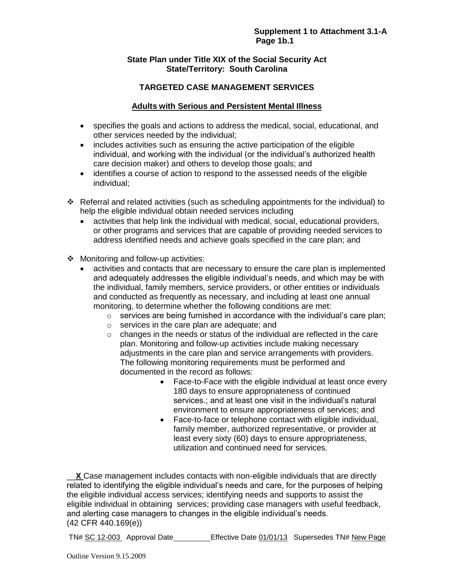## **State Plan under Title XIX of the Social Security Act State/Territory: South Carolina**

# **TARGETED CASE MANAGEMENT SERVICES**

## **Adults with Serious and Persistent Mental Illness**

- specifies the goals and actions to address the medical, social, educational, and other services needed by the individual;
- includes activities such as ensuring the active participation of the eligible individual, and working with the individual (or the individual's authorized health care decision maker) and others to develop those goals; and
- identifies a course of action to respond to the assessed needs of the eligible individual;
- Referral and related activities (such as scheduling appointments for the individual) to help the eligible individual obtain needed services including
	- activities that help link the individual with medical, social, educational providers, or other programs and services that are capable of providing needed services to address identified needs and achieve goals specified in the care plan; and
- ❖ Monitoring and follow-up activities:
	- activities and contacts that are necessary to ensure the care plan is implemented and adequately addresses the eligible individual's needs, and which may be with the individual, family members, service providers, or other entities or individuals and conducted as frequently as necessary, and including at least one annual monitoring, to determine whether the following conditions are met:
		- $\circ$  services are being furnished in accordance with the individual's care plan;
		- o services in the care plan are adequate; and
		- $\circ$  changes in the needs or status of the individual are reflected in the care plan. Monitoring and follow-up activities include making necessary adjustments in the care plan and service arrangements with providers. The following monitoring requirements must be performed and documented in the record as follows:
			- Face-to-Face with the eligible individual at least once every 180 days to ensure appropriateness of continued services.; and at least one visit in the individual's natural environment to ensure appropriateness of services; and
			- Face-to-face or telephone contact with eligible individual, family member, authorized representative, or provider at least every sixty (60) days to ensure appropriateness, utilization and continued need for services.

**X** Case management includes contacts with non-eligible individuals that are directly related to identifying the eligible individual's needs and care, for the purposes of helping the eligible individual access services; identifying needs and supports to assist the eligible individual in obtaining services; providing case managers with useful feedback, and alerting case managers to changes in the eligible individual's needs. (42 CFR 440.169(e))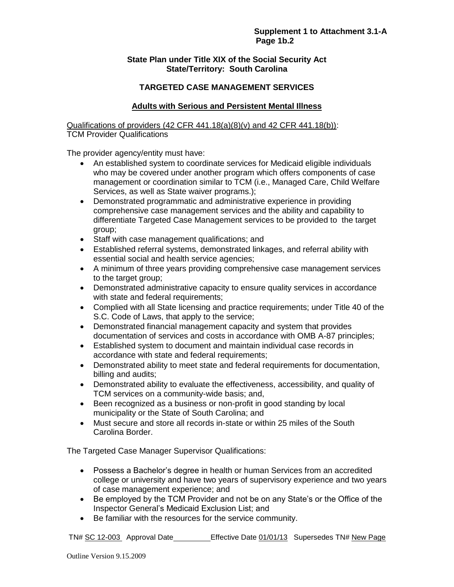### **State Plan under Title XIX of the Social Security Act State/Territory: South Carolina**

# **TARGETED CASE MANAGEMENT SERVICES**

## **Adults with Serious and Persistent Mental Illness**

Qualifications of providers (42 CFR 441.18(a)(8)(v) and 42 CFR 441.18(b)): TCM Provider Qualifications

The provider agency/entity must have:

- An established system to coordinate services for Medicaid eligible individuals who may be covered under another program which offers components of case management or coordination similar to TCM (i.e., Managed Care, Child Welfare Services, as well as State waiver programs.);
- Demonstrated programmatic and administrative experience in providing comprehensive case management services and the ability and capability to differentiate Targeted Case Management services to be provided to the target group;
- Staff with case management qualifications; and
- Established referral systems, demonstrated linkages, and referral ability with essential social and health service agencies;
- A minimum of three years providing comprehensive case management services to the target group;
- Demonstrated administrative capacity to ensure quality services in accordance with state and federal requirements;
- Complied with all State licensing and practice requirements; under Title 40 of the S.C. Code of Laws, that apply to the service;
- Demonstrated financial management capacity and system that provides documentation of services and costs in accordance with OMB A-87 principles;
- Established system to document and maintain individual case records in accordance with state and federal requirements;
- Demonstrated ability to meet state and federal requirements for documentation, billing and audits;
- Demonstrated ability to evaluate the effectiveness, accessibility, and quality of TCM services on a community-wide basis; and,
- Been recognized as a business or non-profit in good standing by local municipality or the State of South Carolina; and
- Must secure and store all records in-state or within 25 miles of the South Carolina Border.

The Targeted Case Manager Supervisor Qualifications:

- Possess a Bachelor's degree in health or human Services from an accredited college or university and have two years of supervisory experience and two years of case management experience; and
- Be employed by the TCM Provider and not be on any State's or the Office of the Inspector General's Medicaid Exclusion List; and
- Be familiar with the resources for the service community.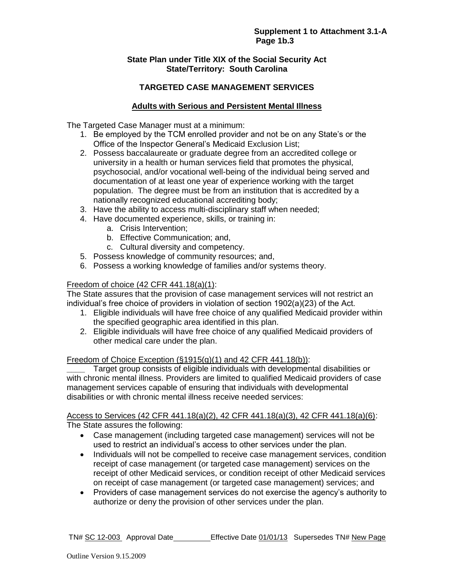## **State Plan under Title XIX of the Social Security Act State/Territory: South Carolina**

# **TARGETED CASE MANAGEMENT SERVICES**

## **Adults with Serious and Persistent Mental Illness**

The Targeted Case Manager must at a minimum:

- 1. Be employed by the TCM enrolled provider and not be on any State's or the Office of the Inspector General's Medicaid Exclusion List;
- 2. Possess baccalaureate or graduate degree from an accredited college or university in a health or human services field that promotes the physical, psychosocial, and/or vocational well-being of the individual being served and documentation of at least one year of experience working with the target population. The degree must be from an institution that is accredited by a nationally recognized educational accrediting body;
- 3. Have the ability to access multi-disciplinary staff when needed;
- 4. Have documented experience, skills, or training in:
	- a. Crisis Intervention;
	- b. Effective Communication; and,
	- c. Cultural diversity and competency.
- 5. Possess knowledge of community resources; and,
- 6. Possess a working knowledge of families and/or systems theory.

#### Freedom of choice (42 CFR 441.18(a)(1):

The State assures that the provision of case management services will not restrict an individual's free choice of providers in violation of section 1902(a)(23) of the Act.

- 1. Eligible individuals will have free choice of any qualified Medicaid provider within the specified geographic area identified in this plan.
- 2. Eligible individuals will have free choice of any qualified Medicaid providers of other medical care under the plan.

#### Freedom of Choice Exception  $(\S1915(q)(1)$  and 42 CFR 441.18(b)):

**\_\_\_\_** Target group consists of eligible individuals with developmental disabilities or with chronic mental illness. Providers are limited to qualified Medicaid providers of case management services capable of ensuring that individuals with developmental disabilities or with chronic mental illness receive needed services:

#### Access to Services (42 CFR 441.18(a)(2), 42 CFR 441.18(a)(3), 42 CFR 441.18(a)(6): The State assures the following:

- Case management (including targeted case management) services will not be used to restrict an individual's access to other services under the plan.
- Individuals will not be compelled to receive case management services, condition receipt of case management (or targeted case management) services on the receipt of other Medicaid services, or condition receipt of other Medicaid services on receipt of case management (or targeted case management) services; and
- Providers of case management services do not exercise the agency's authority to authorize or deny the provision of other services under the plan.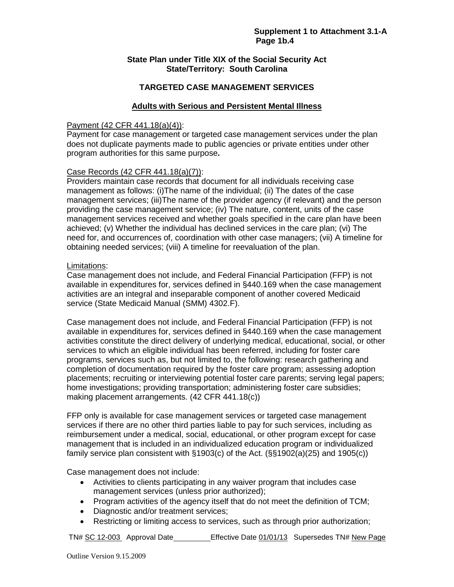### **State Plan under Title XIX of the Social Security Act State/Territory: South Carolina**

## **TARGETED CASE MANAGEMENT SERVICES**

## **Adults with Serious and Persistent Mental Illness**

#### Payment (42 CFR 441.18(a)(4)):

Payment for case management or targeted case management services under the plan does not duplicate payments made to public agencies or private entities under other program authorities for this same purpose**.** 

## Case Records (42 CFR 441.18(a)(7)):

Providers maintain case records that document for all individuals receiving case management as follows: (i)The name of the individual; (ii) The dates of the case management services; (iii)The name of the provider agency (if relevant) and the person providing the case management service; (iv) The nature, content, units of the case management services received and whether goals specified in the care plan have been achieved; (v) Whether the individual has declined services in the care plan; (vi) The need for, and occurrences of, coordination with other case managers; (vii) A timeline for obtaining needed services; (viii) A timeline for reevaluation of the plan.

#### Limitations:

Case management does not include, and Federal Financial Participation (FFP) is not available in expenditures for, services defined in §440.169 when the case management activities are an integral and inseparable component of another covered Medicaid service (State Medicaid Manual (SMM) 4302.F).

Case management does not include, and Federal Financial Participation (FFP) is not available in expenditures for, services defined in §440.169 when the case management activities constitute the direct delivery of underlying medical, educational, social, or other services to which an eligible individual has been referred, including for foster care programs, services such as, but not limited to, the following: research gathering and completion of documentation required by the foster care program; assessing adoption placements; recruiting or interviewing potential foster care parents; serving legal papers; home investigations; providing transportation; administering foster care subsidies; making placement arrangements. (42 CFR 441.18(c))

FFP only is available for case management services or targeted case management services if there are no other third parties liable to pay for such services, including as reimbursement under a medical, social, educational, or other program except for case management that is included in an individualized education program or individualized family service plan consistent with §1903(c) of the Act. (§§1902(a)(25) and 1905(c))

Case management does not include:

- Activities to clients participating in any waiver program that includes case management services (unless prior authorized);
- Program activities of the agency itself that do not meet the definition of TCM;
- Diagnostic and/or treatment services;
- Restricting or limiting access to services, such as through prior authorization;